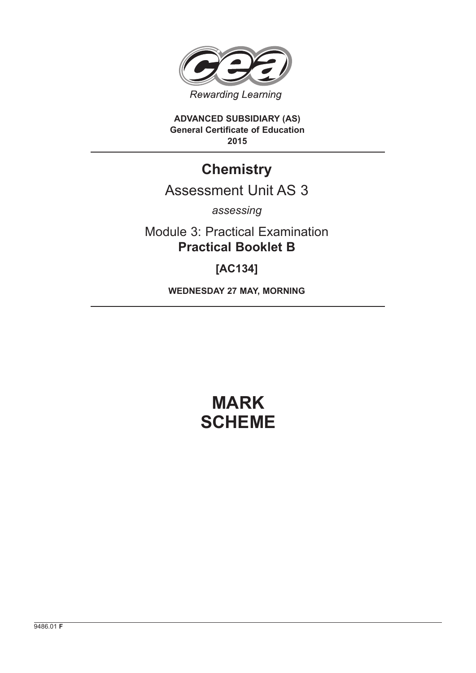

**ADVANCED SUBSIDIARY (AS) General Certificate of Education 2015**

# **Chemistry**

# Assessment Unit AS 3

*assessing*

Module 3: Practical Examination **Practical Booklet B**

**[AC134]**

**WEDNESDAY 27 MAY, MORNING**

# **MARK SCHEME**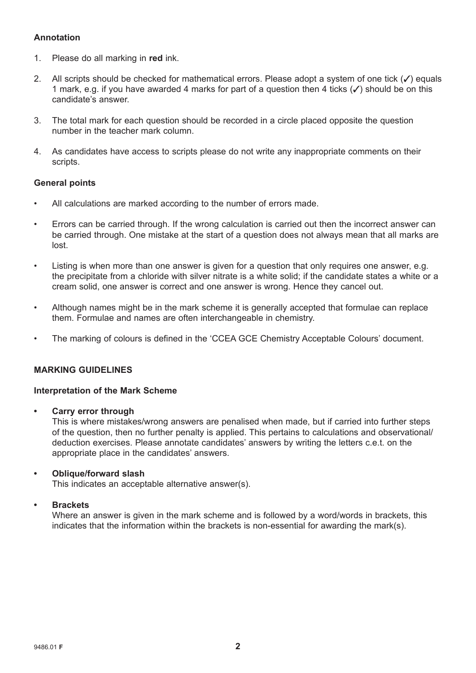## **Annotation**

- 1. Please do all marking in **red** ink.
- 2. All scripts should be checked for mathematical errors. Please adopt a system of one tick  $(\checkmark)$  equals 1 mark, e.g. if you have awarded 4 marks for part of a question then 4 ticks  $(\checkmark)$  should be on this candidate's answer.
- 3. The total mark for each question should be recorded in a circle placed opposite the question number in the teacher mark column.
- 4. As candidates have access to scripts please do not write any inappropriate comments on their scripts.

#### **General points**

- All calculations are marked according to the number of errors made.
- Errors can be carried through. If the wrong calculation is carried out then the incorrect answer can be carried through. One mistake at the start of a question does not always mean that all marks are lost.
- Listing is when more than one answer is given for a question that only requires one answer, e.g. the precipitate from a chloride with silver nitrate is a white solid; if the candidate states a white or a cream solid, one answer is correct and one answer is wrong. Hence they cancel out.
- Although names might be in the mark scheme it is generally accepted that formulae can replace them. Formulae and names are often interchangeable in chemistry.
- The marking of colours is defined in the 'CCEA GCE Chemistry Acceptable Colours' document.

#### **MARKING GUIDELINES**

#### **Interpretation of the Mark Scheme**

**• Carry error through**

 This is where mistakes/wrong answers are penalised when made, but if carried into further steps of the question, then no further penalty is applied. This pertains to calculations and observational/ deduction exercises. Please annotate candidates' answers by writing the letters c.e.t. on the appropriate place in the candidates' answers.

#### **• Oblique/forward slash**

This indicates an acceptable alternative answer(s).

#### **• Brackets**

 Where an answer is given in the mark scheme and is followed by a word/words in brackets, this indicates that the information within the brackets is non-essential for awarding the mark(s).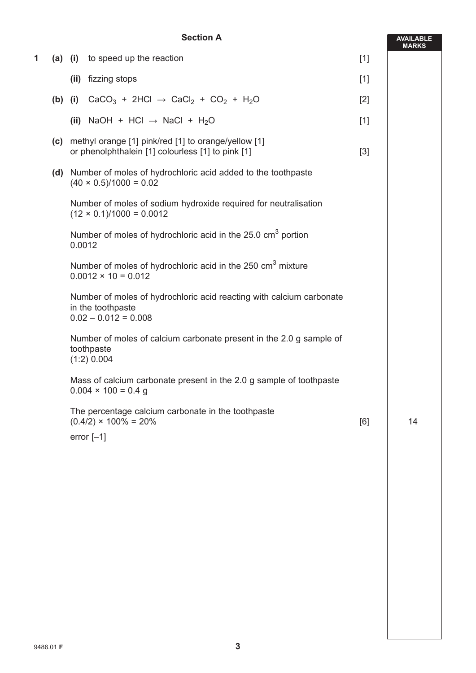#### **Section A**

|   |     | <b>Section A</b>                                                                                                    |       |              |
|---|-----|---------------------------------------------------------------------------------------------------------------------|-------|--------------|
| 1 |     | (a) (i) to speed up the reaction                                                                                    | $[1]$ | <b>MARKS</b> |
|   |     | (ii) fizzing stops                                                                                                  | $[1]$ |              |
|   |     | (b) (i) $CaCO_3 + 2HCl \rightarrow CaCl_2 + CO_2 + H_2O$                                                            | $[2]$ |              |
|   |     | (ii) NaOH + HCl $\rightarrow$ NaCl + H <sub>2</sub> O                                                               | $[1]$ |              |
|   | (c) | methyl orange [1] pink/red [1] to orange/yellow [1]<br>or phenolphthalein [1] colourless [1] to pink [1]            | $[3]$ |              |
|   |     | (d) Number of moles of hydrochloric acid added to the toothpaste<br>$(40 \times 0.5)/1000 = 0.02$                   |       |              |
|   |     | Number of moles of sodium hydroxide required for neutralisation<br>$(12 \times 0.1)/1000 = 0.0012$                  |       |              |
|   |     | Number of moles of hydrochloric acid in the 25.0 cm <sup>3</sup> portion<br>0.0012                                  |       |              |
|   |     | Number of moles of hydrochloric acid in the 250 cm <sup>3</sup> mixture<br>$0.0012 \times 10 = 0.012$               |       |              |
|   |     | Number of moles of hydrochloric acid reacting with calcium carbonate<br>in the toothpaste<br>$0.02 - 0.012 = 0.008$ |       |              |
|   |     | Number of moles of calcium carbonate present in the 2.0 g sample of<br>toothpaste<br>$(1:2)$ 0.004                  |       |              |
|   |     | Mass of calcium carbonate present in the 2.0 g sample of toothpaste<br>$0.004 \times 100 = 0.4$ g                   |       |              |
|   |     | The percentage calcium carbonate in the toothpaste<br>$(0.4/2) \times 100\% = 20\%$<br>error $[-1]$                 | [6]   | 14           |
|   |     |                                                                                                                     |       |              |
|   |     |                                                                                                                     |       |              |
|   |     |                                                                                                                     |       |              |
|   |     |                                                                                                                     |       |              |
|   |     |                                                                                                                     |       |              |
|   |     |                                                                                                                     |       |              |
|   |     |                                                                                                                     |       |              |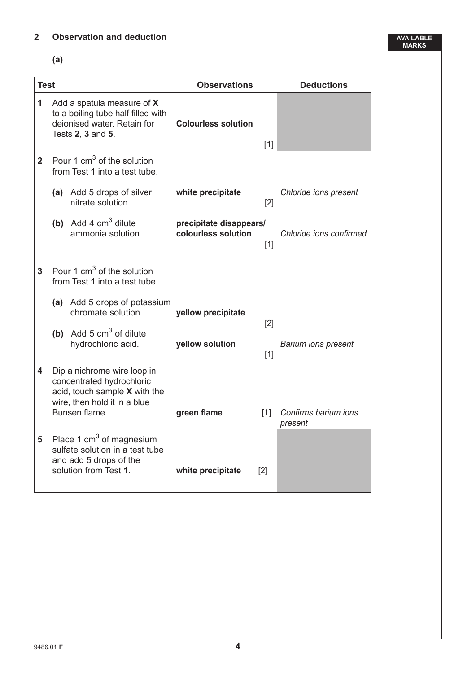## **2 Observation and deduction**

 **(a)**

| <b>Test</b>    |                                                                                                                                            | <b>Observations</b>                                     | <b>Deductions</b>               |  |  |
|----------------|--------------------------------------------------------------------------------------------------------------------------------------------|---------------------------------------------------------|---------------------------------|--|--|
| 1              | Add a spatula measure of X<br>to a boiling tube half filled with<br>deionised water. Retain for<br>Tests 2, 3 and 5.                       | <b>Colourless solution</b><br>$[1]$                     |                                 |  |  |
| $\overline{2}$ | Pour 1 $cm3$ of the solution<br>from Test 1 into a test tube.                                                                              |                                                         |                                 |  |  |
|                | (a) Add 5 drops of silver<br>nitrate solution.                                                                                             | white precipitate<br>[2]                                | Chloride ions present           |  |  |
|                | (b) Add 4 $cm3$ dilute<br>ammonia solution.                                                                                                | precipitate disappears/<br>colourless solution<br>$[1]$ | Chloride ions confirmed         |  |  |
| 3 <sup>1</sup> | Pour 1 $cm3$ of the solution<br>from Test 1 into a test tube.                                                                              |                                                         |                                 |  |  |
|                | (a) Add 5 drops of potassium<br>chromate solution.                                                                                         | yellow precipitate<br>[2]                               |                                 |  |  |
|                | (b) Add 5 $cm3$ of dilute<br>hydrochloric acid.                                                                                            | yellow solution<br>$[1]$                                | <b>Barium ions present</b>      |  |  |
| 4              | Dip a nichrome wire loop in<br>concentrated hydrochloric<br>acid, touch sample X with the<br>wire, then hold it in a blue<br>Bunsen flame. | green flame<br>[1]                                      | Confirms barium ions<br>present |  |  |
| 5              | Place 1 $cm3$ of magnesium<br>sulfate solution in a test tube<br>and add 5 drops of the<br>solution from Test 1.                           | white precipitate<br>$[2]$                              |                                 |  |  |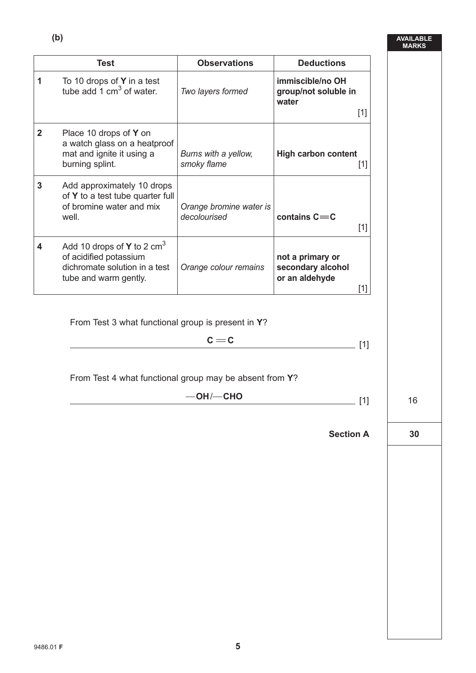|                | <b>Test</b>                                                                                                      | <b>Observations</b>                     | <b>Deductions</b>                                                |    |
|----------------|------------------------------------------------------------------------------------------------------------------|-----------------------------------------|------------------------------------------------------------------|----|
| 1              | To 10 drops of <b>Y</b> in a test<br>tube add 1 cm <sup>3</sup> of water.                                        | Two layers formed                       | immiscible/no OH<br>group/not soluble in<br>water<br>$[1]$       |    |
| $\overline{2}$ | Place 10 drops of Y on<br>a watch glass on a heatproof<br>mat and ignite it using a<br>burning splint.           | Burns with a yellow,<br>smoky flame     | <b>High carbon content</b><br>$[1]$                              |    |
| $\mathbf{3}$   | Add approximately 10 drops<br>of Y to a test tube quarter full<br>of bromine water and mix<br>well.              | Orange bromine water is<br>decolourised | contains $C = C$<br>$[1]$                                        |    |
| 4              | Add 10 drops of Y to 2 $cm3$<br>of acidified potassium<br>dichromate solution in a test<br>tube and warm gently. | Orange colour remains                   | not a primary or<br>secondary alcohol<br>or an aldehyde<br>$[1]$ |    |
|                | From Test 3 what functional group is present in Y?                                                               | $c = c$                                 | [1]                                                              |    |
|                | From Test 4 what functional group may be absent from Y?                                                          |                                         |                                                                  |    |
|                | $-OH$ / $-$ CHO<br>$[1]$                                                                                         |                                         |                                                                  | 16 |
|                |                                                                                                                  |                                         | <b>Section A</b>                                                 | 30 |
|                |                                                                                                                  |                                         |                                                                  |    |
|                |                                                                                                                  |                                         |                                                                  |    |
|                |                                                                                                                  |                                         |                                                                  |    |
|                |                                                                                                                  |                                         |                                                                  |    |
|                |                                                                                                                  |                                         |                                                                  |    |
|                |                                                                                                                  |                                         |                                                                  |    |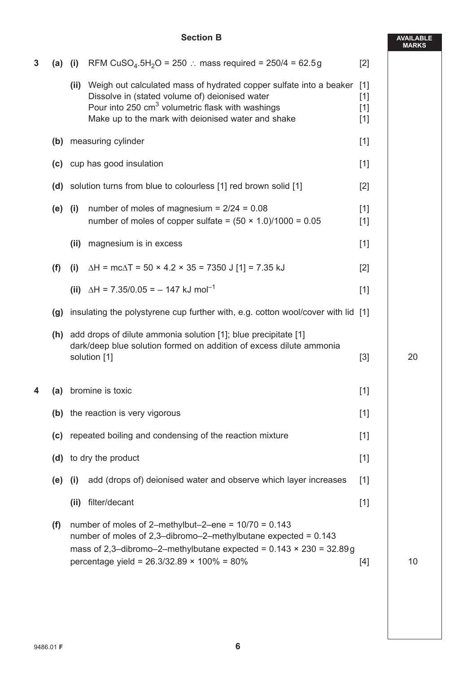### **Section B**

**AVAILABLE**

|   |           |                                                                                  |                                                                                                                                                                                                                                                                |                         | <b>MARKS</b> |
|---|-----------|----------------------------------------------------------------------------------|----------------------------------------------------------------------------------------------------------------------------------------------------------------------------------------------------------------------------------------------------------------|-------------------------|--------------|
| 3 | $(a)$ (i) |                                                                                  | RFM CuSO <sub>4</sub> .5H <sub>2</sub> O = 250 : mass required = 250/4 = 62.5g                                                                                                                                                                                 | $[2]$                   |              |
|   |           |                                                                                  | (ii) Weigh out calculated mass of hydrated copper sulfate into a beaker [1]<br>Dissolve in (stated volume of) deionised water<br>Pour into 250 cm <sup>3</sup> volumetric flask with washings<br>Make up to the mark with deionised water and shake            | $[1]$<br>$[1]$<br>$[1]$ |              |
|   | (b)       |                                                                                  | measuring cylinder                                                                                                                                                                                                                                             | $[1]$                   |              |
|   |           | (c) cup has good insulation                                                      |                                                                                                                                                                                                                                                                | $[1]$                   |              |
|   |           | (d) solution turns from blue to colourless [1] red brown solid [1]               |                                                                                                                                                                                                                                                                | $[2]$                   |              |
|   | $(e)$ (i) |                                                                                  | number of moles of magnesium = $2/24 = 0.08$<br>number of moles of copper sulfate = $(50 \times 1.0)/1000 = 0.05$                                                                                                                                              | $[1]$<br>$[1]$          |              |
|   |           | (ii)                                                                             | magnesium is in excess                                                                                                                                                                                                                                         | $[1]$                   |              |
|   | (f)       | (i)                                                                              | $\Delta H = mc\Delta T = 50 \times 4.2 \times 35 = 7350 \text{ J} [1] = 7.35 \text{ kJ}$                                                                                                                                                                       | $[2]$                   |              |
|   |           |                                                                                  | (ii) $\Delta H = 7.35/0.05 = -147$ kJ mol <sup>-1</sup>                                                                                                                                                                                                        | $[1]$                   |              |
|   | (g)       | insulating the polystyrene cup further with, e.g. cotton wool/cover with lid [1] |                                                                                                                                                                                                                                                                |                         |              |
|   |           |                                                                                  | (h) add drops of dilute ammonia solution [1]; blue precipitate [1]<br>dark/deep blue solution formed on addition of excess dilute ammonia<br>solution [1]                                                                                                      | $[3]$                   | 20           |
| 4 | (a)       |                                                                                  | bromine is toxic                                                                                                                                                                                                                                               | $[1]$                   |              |
|   |           |                                                                                  | (b) the reaction is very vigorous                                                                                                                                                                                                                              | $[1]$                   |              |
|   |           |                                                                                  | (c) repeated boiling and condensing of the reaction mixture                                                                                                                                                                                                    | $[1]$                   |              |
|   | (d)       |                                                                                  | to dry the product                                                                                                                                                                                                                                             | $[1]$                   |              |
|   | (e)       | (i)                                                                              | add (drops of) deionised water and observe which layer increases                                                                                                                                                                                               | $[1]$                   |              |
|   |           | (ii)                                                                             | filter/decant                                                                                                                                                                                                                                                  | $[1]$                   |              |
|   | (f)       |                                                                                  | number of moles of 2-methylbut-2-ene = $10/70 = 0.143$<br>number of moles of 2,3-dibromo-2-methylbutane expected = $0.143$<br>mass of 2,3-dibromo-2-methylbutane expected = $0.143 \times 230 = 32.89g$<br>percentage yield = $26.3/32.89 \times 100\% = 80\%$ | $[4]$                   | 10           |
|   |           |                                                                                  |                                                                                                                                                                                                                                                                |                         |              |